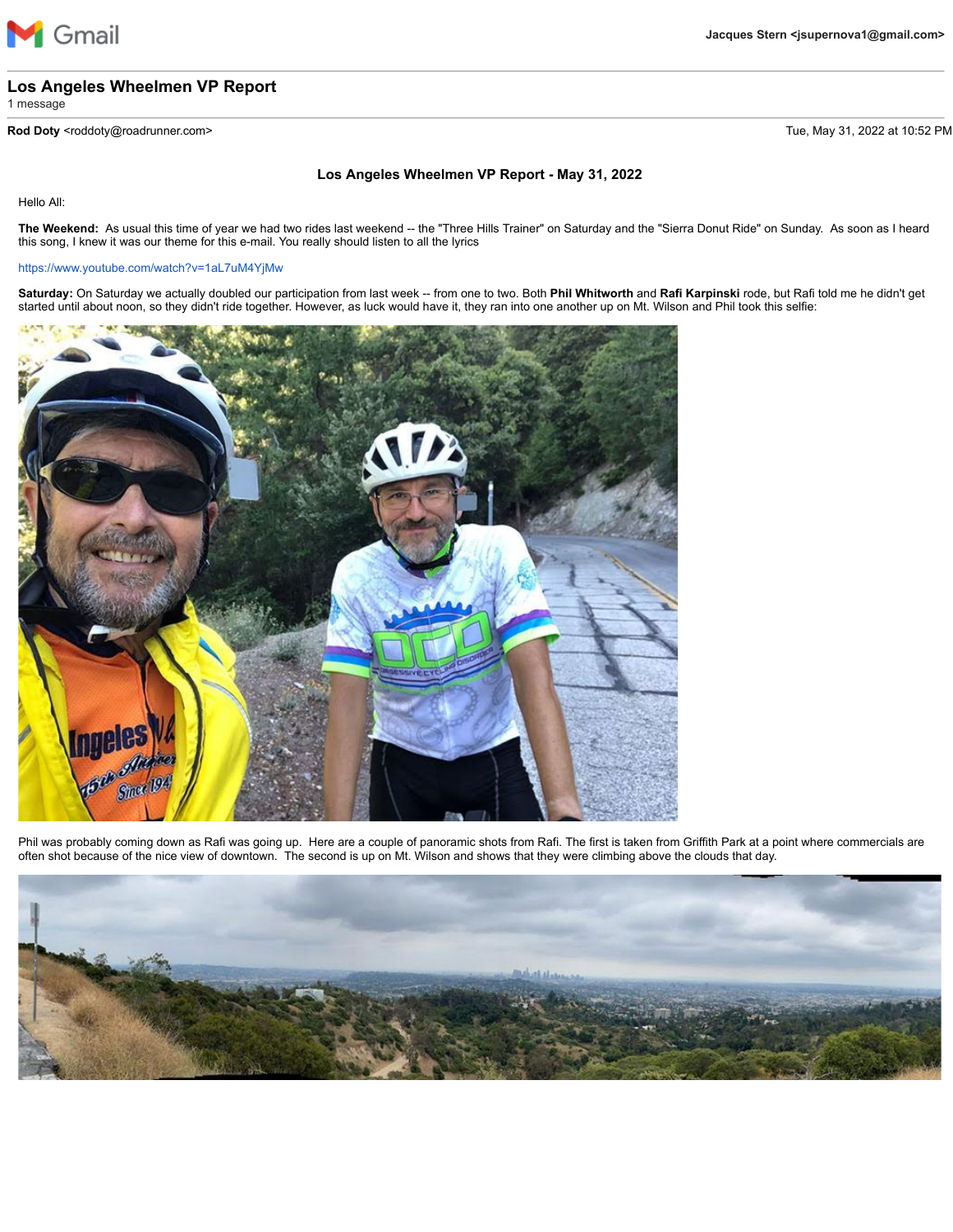

## **Los Angeles Wheelmen VP Report**

1 message

**Rod Doty** <roddoty@roadrunner.com> Tue, May 31, 2022 at 10:52 PM

## **Los Angeles Wheelmen VP Report - May 31, 2022**

Hello All:

**The Weekend:** As usual this time of year we had two rides last weekend -- the "Three Hills Trainer" on Saturday and the "Sierra Donut Ride" on Sunday. As soon as I heard this song, I knew it was our theme for this e-mail. You really should listen to all the lyrics

## <https://www.youtube.com/watch?v=1aL7uM4YjMw>

**Saturday:** On Saturday we actually doubled our participation from last week -- from one to two. Both **Phil Whitworth** and **Rafi Karpinski** rode, but Rafi told me he didn't get started until about noon, so they didn't ride together. However, as luck would have it, they ran into one another up on Mt. Wilson and Phil took this selfie:



Phil was probably coming down as Rafi was going up. Here are a couple of panoramic shots from Rafi. The first is taken from Griffith Park at a point where commercials are often shot because of the nice view of downtown. The second is up on Mt. Wilson and shows that they were climbing above the clouds that day.

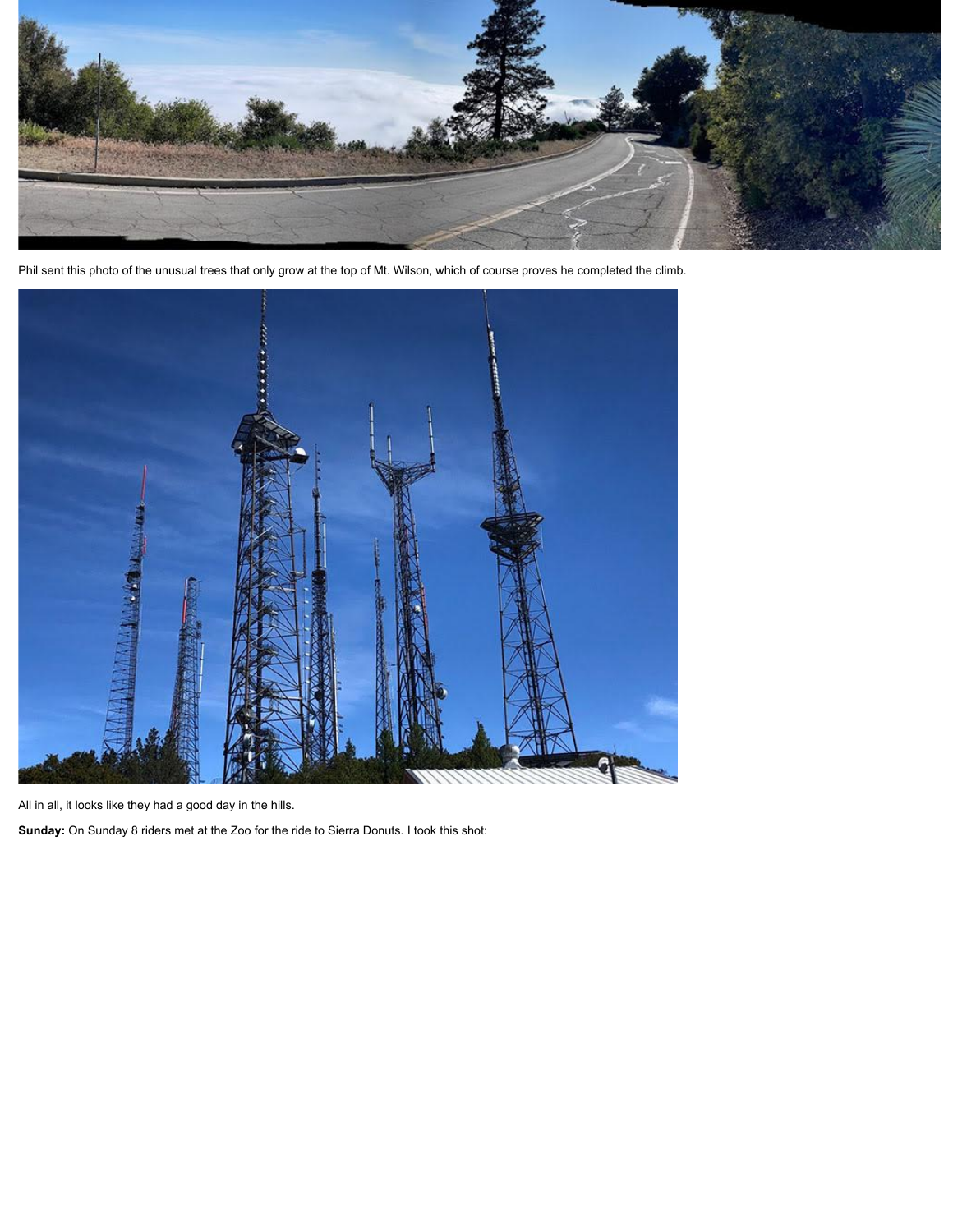

Phil sent this photo of the unusual trees that only grow at the top of Mt. Wilson, which of course proves he completed the climb.



All in all, it looks like they had a good day in the hills.

**Sunday:** On Sunday 8 riders met at the Zoo for the ride to Sierra Donuts. I took this shot: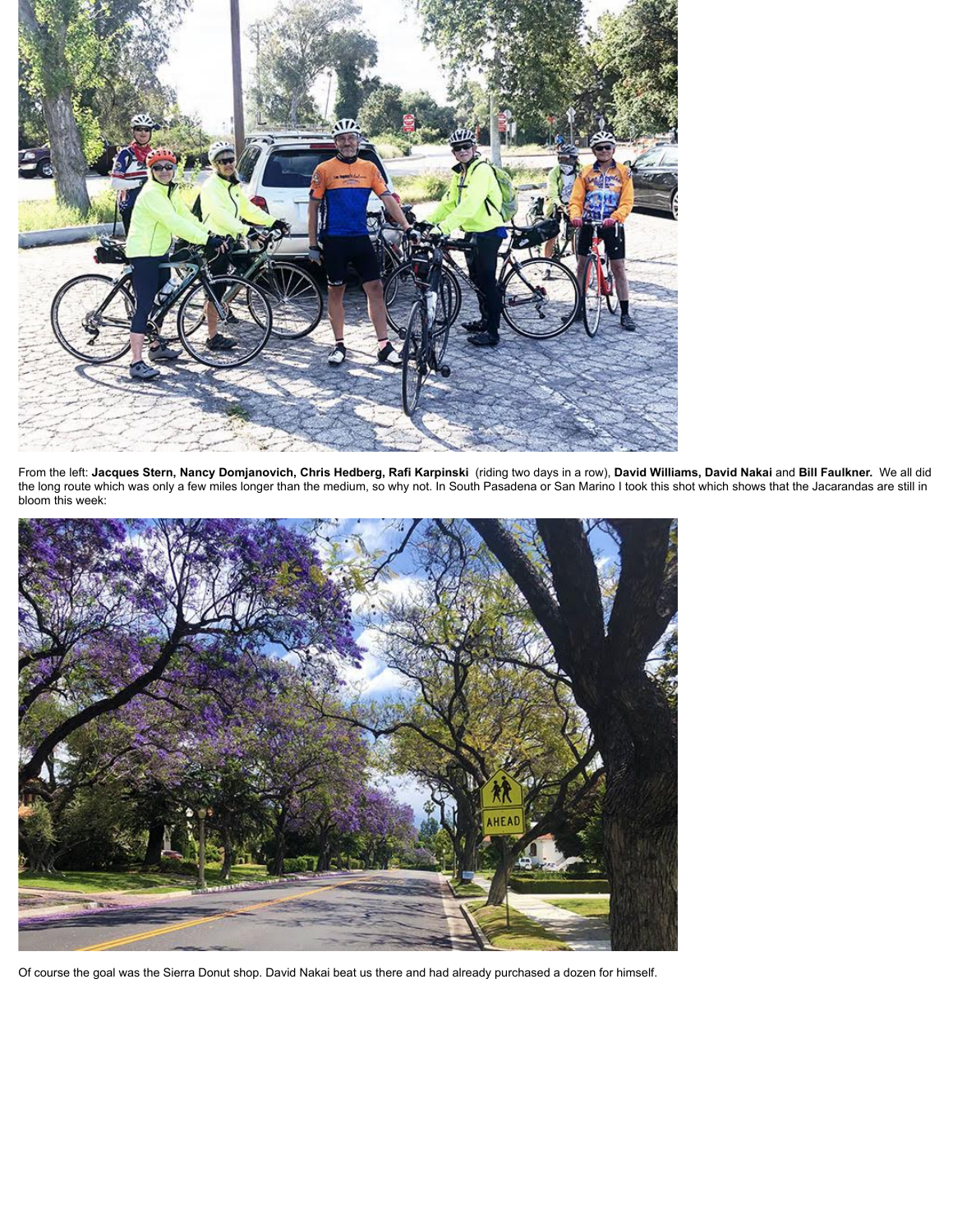

From the left: **Jacques Stern, Nancy Domjanovich, Chris Hedberg, Rafi Karpinski** (riding two days in a row), **David Williams, David Nakai** and **Bill Faulkner.** We all did the long route which was only a few miles longer than the medium, so why not. In South Pasadena or San Marino I took this shot which shows that the Jacarandas are still in bloom this week:



Of course the goal was the Sierra Donut shop. David Nakai beat us there and had already purchased a dozen for himself.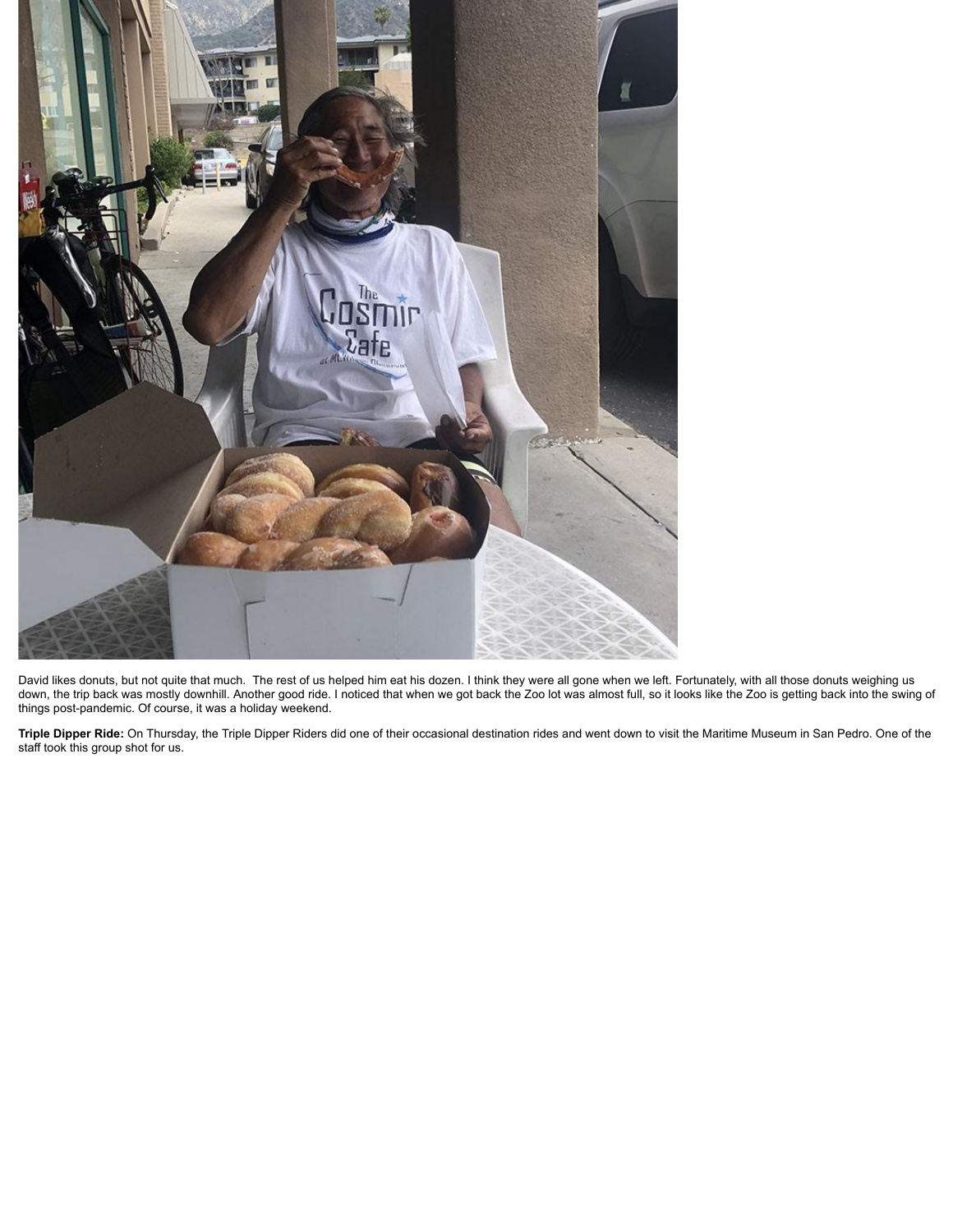

David likes donuts, but not quite that much. The rest of us helped him eat his dozen. I think they were all gone when we left. Fortunately, with all those donuts weighing us down, the trip back was mostly downhill. Another good ride. I noticed that when we got back the Zoo lot was almost full, so it looks like the Zoo is getting back into the swing of things post-pandemic. Of course, it was a holiday weekend.

**Triple Dipper Ride:** On Thursday, the Triple Dipper Riders did one of their occasional destination rides and went down to visit the Maritime Museum in San Pedro. One of the staff took this group shot for us.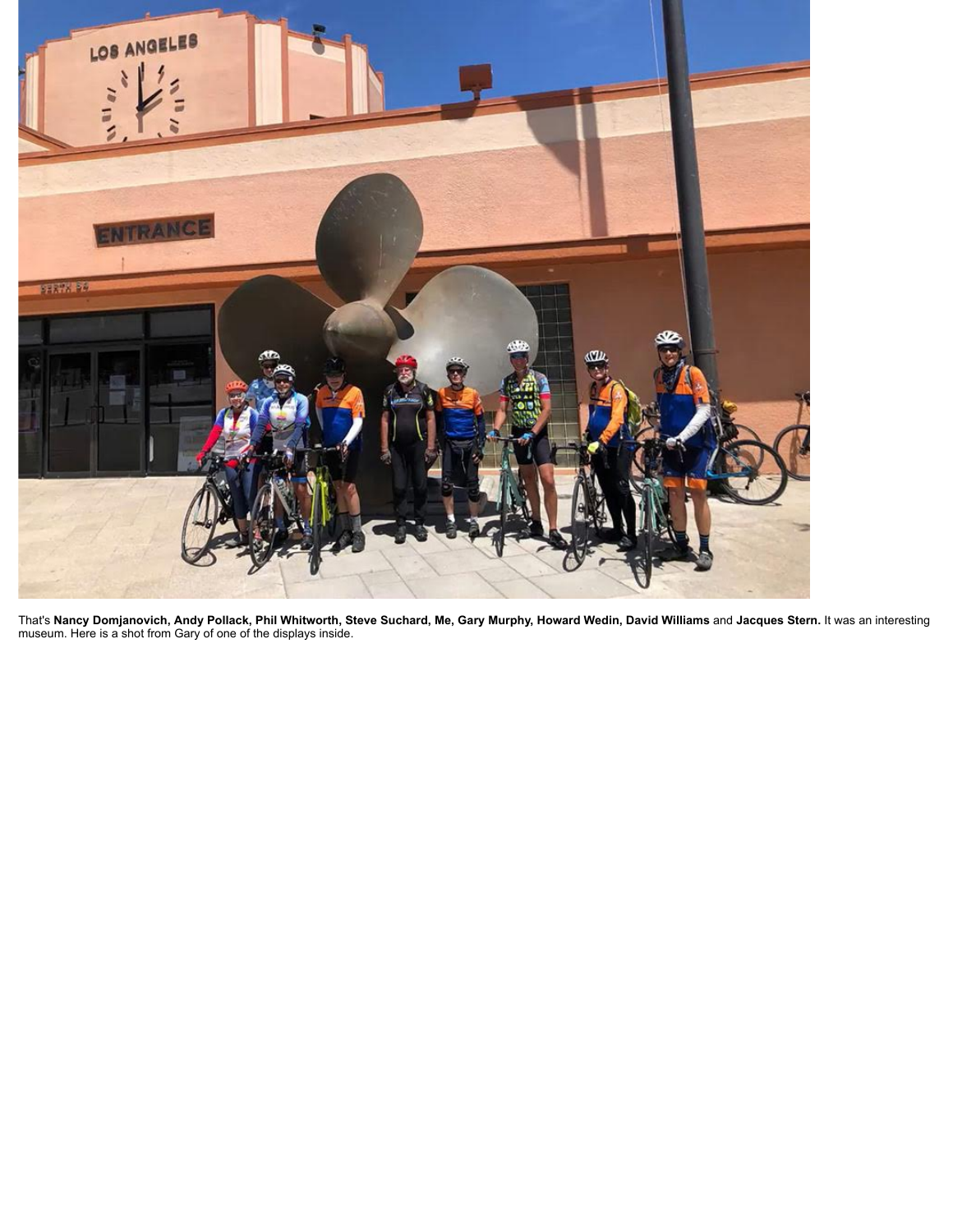

That's **Nancy Domjanovich, Andy Pollack, Phil Whitworth, Steve Suchard, Me, Gary Murphy, Howard Wedin, David Williams** and **Jacques Stern.** It was an interesting museum. Here is a shot from Gary of one of the displays inside.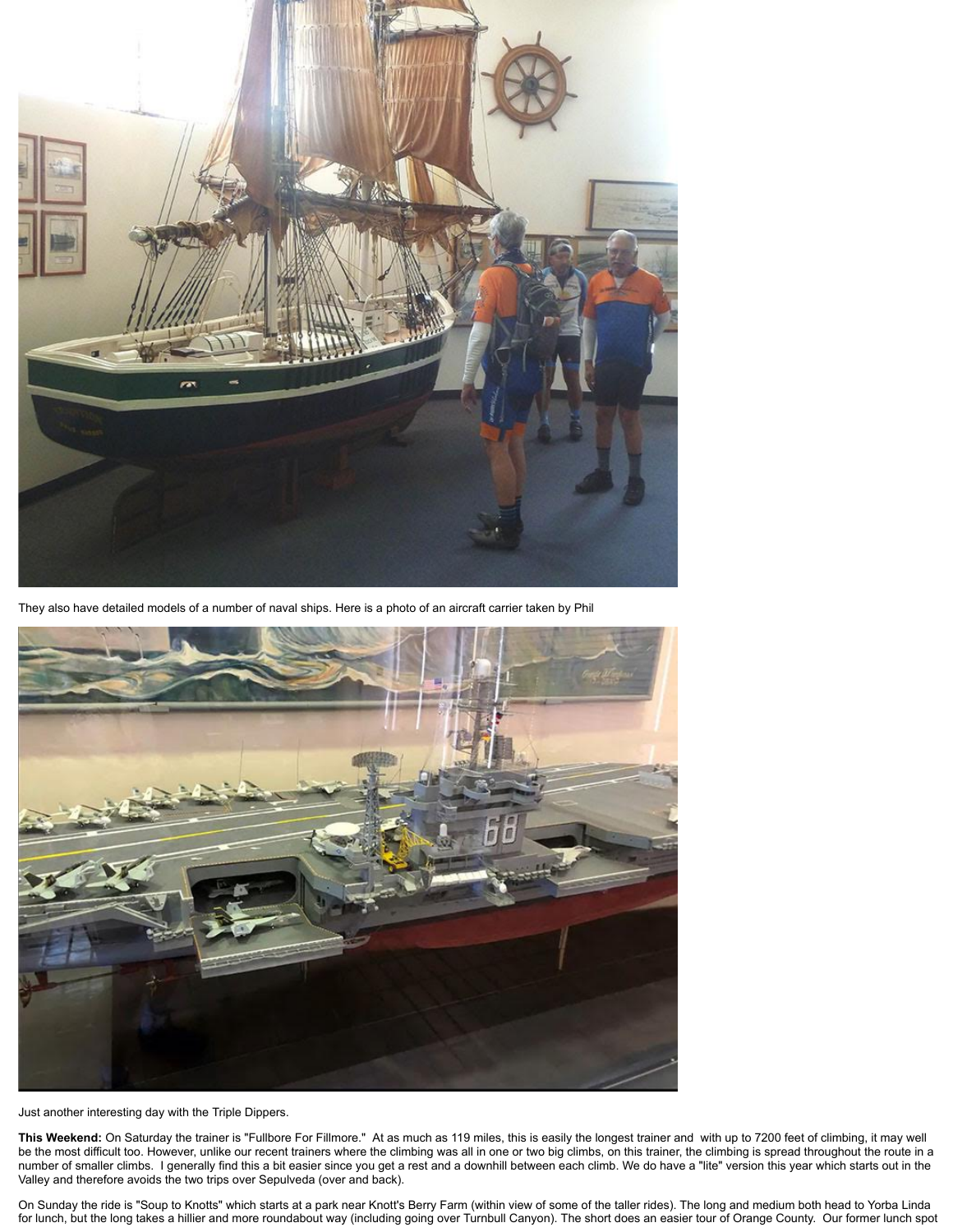

They also have detailed models of a number of naval ships. Here is a photo of an aircraft carrier taken by Phil



Just another interesting day with the Triple Dippers.

**This Weekend:** On Saturday the trainer is "Fullbore For Fillmore." At as much as 119 miles, this is easily the longest trainer and with up to 7200 feet of climbing, it may well be the most difficult too. However, unlike our recent trainers where the climbing was all in one or two big climbs, on this trainer, the climbing is spread throughout the route in a number of smaller climbs. I generally find this a bit easier since you get a rest and a downhill between each climb. We do have a "lite" version this year which starts out in the Valley and therefore avoids the two trips over Sepulveda (over and back).

On Sunday the ride is "Soup to Knotts" which starts at a park near Knott's Berry Farm (within view of some of the taller rides). The long and medium both head to Yorba Linda for lunch, but the long takes a hillier and more roundabout way (including going over Turnbull Canyon). The short does an easier tour of Orange County. Our former lunch spot